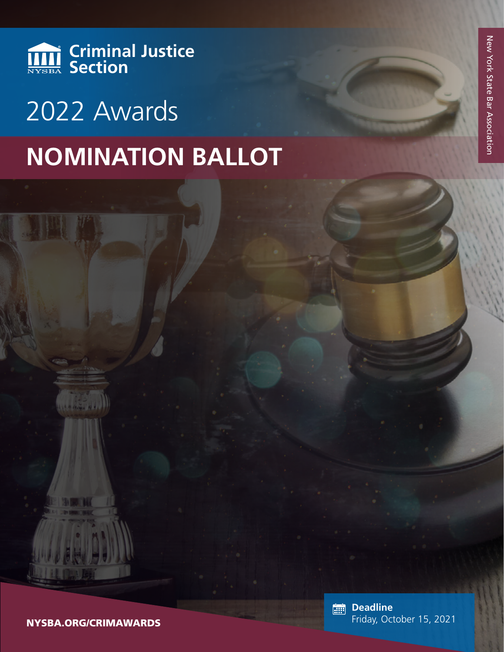

# **NOMINATION BALLOT** 2022 Awards

NYSBA.ORG/CRIMAWARDS

**Deadline** Friday, October 15, 2021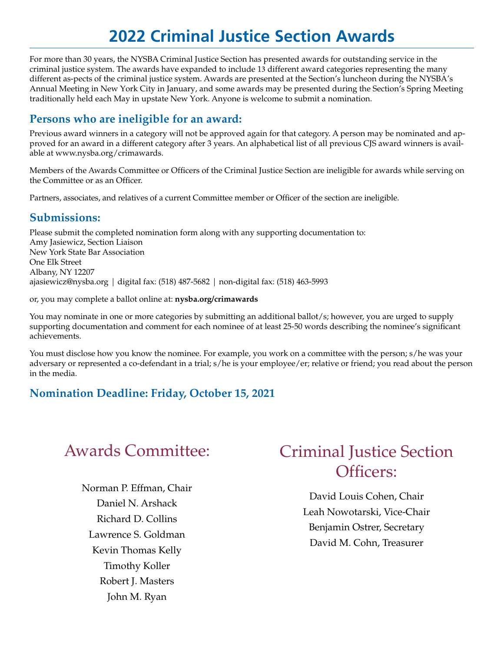## **2022 Criminal Justice Section Awards**

For more than 30 years, the NYSBA Criminal Justice Section has presented awards for outstanding service in the criminal justice system. The awards have expanded to include 13 different award categories representing the many different as-pects of the criminal justice system. Awards are presented at the Section's luncheon during the NYSBA's Annual Meeting in New York City in January, and some awards may be presented during the Section's Spring Meeting traditionally held each May in upstate New York. Anyone is welcome to submit a nomination.

#### **Persons who are ineligible for an award:**

Previous award winners in a category will not be approved again for that category. A person may be nominated and approved for an award in a different category after 3 years. An alphabetical list of all previous CJS award winners is available at www.nysba.org/crimawards.

Members of the Awards Committee or Officers of the Criminal Justice Section are ineligible for awards while serving on the Committee or as an Officer.

Partners, associates, and relatives of a current Committee member or Officer of the section are ineligible.

#### **Submissions:**

Please submit the completed nomination form along with any supporting documentation to: Amy Jasiewicz, Section Liaison New York State Bar Association One Elk Street Albany, NY 12207 ajasiewicz@nysba.org | digital fax: (518) 487-5682 | non-digital fax: (518) 463-5993

or, you may complete a ballot online at: **nysba.org/crimawards**

You may nominate in one or more categories by submitting an additional ballot/s; however, you are urged to supply supporting documentation and comment for each nominee of at least 25-50 words describing the nominee's significant achievements.

You must disclose how you know the nominee. For example, you work on a committee with the person; s/he was your adversary or represented a co-defendant in a trial; s/he is your employee/er; relative or friend; you read about the person in the media.

### **Nomination Deadline: Friday, October 15, 2021**

Norman P. Effman, Chair Daniel N. Arshack Richard D. Collins Lawrence S. Goldman Kevin Thomas Kelly Timothy Koller Robert J. Masters John M. Ryan

## Awards Committee: Criminal Justice Section Officers:

David Louis Cohen, Chair Leah Nowotarski, Vice-Chair Benjamin Ostrer, Secretary David M. Cohn, Treasurer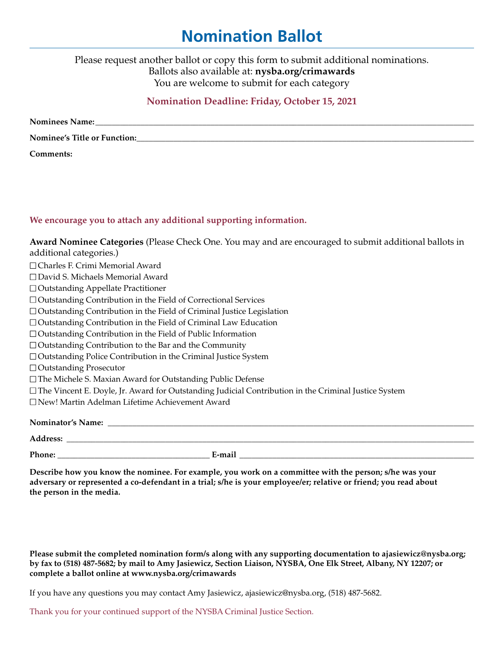## **Nomination Ballot**

Please request another ballot or copy this form to submit additional nominations. Ballots also available at: **[nysba.org/crimawards](http://www.nysba.org/crimawards)** You are welcome to submit for each category

#### **Nomination Deadline: Friday, October 15, 2021**

| <b>Nominees Name:</b>        |
|------------------------------|
| Nominee's Title or Function: |
| Comments:                    |

#### **We encourage you to attach any additional supporting information.**

| Award Nominee Categories (Please Check One. You may and are encouraged to submit additional ballots in      |
|-------------------------------------------------------------------------------------------------------------|
| additional categories.)                                                                                     |
| $\Box$ Charles F. Crimi Memorial Award                                                                      |
| □ David S. Michaels Memorial Award                                                                          |
| $\Box$ Outstanding Appellate Practitioner                                                                   |
| $\Box$ Outstanding Contribution in the Field of Correctional Services                                       |
| $\Box$ Outstanding Contribution in the Field of Criminal Justice Legislation                                |
| $\Box$ Outstanding Contribution in the Field of Criminal Law Education                                      |
| $\Box$ Outstanding Contribution in the Field of Public Information                                          |
| $\Box$ Outstanding Contribution to the Bar and the Community                                                |
| $\Box$ Outstanding Police Contribution in the Criminal Justice System                                       |
| $\Box$ Outstanding Prosecutor                                                                               |
| $\square$ The Michele S. Maxian Award for Outstanding Public Defense                                        |
| $\Box$ The Vincent E. Doyle, Jr. Award for Outstanding Judicial Contribution in the Criminal Justice System |
| □ New! Martin Adelman Lifetime Achievement Award                                                            |
|                                                                                                             |
|                                                                                                             |
| <b>Address:</b>                                                                                             |

**Phone: \_\_\_\_\_\_\_\_\_\_\_\_\_\_\_\_\_\_\_\_\_\_\_\_\_\_\_\_\_\_\_\_\_\_\_\_\_ E-mail \_\_\_\_\_\_\_\_\_\_\_\_\_\_\_\_\_\_\_\_\_\_\_\_\_\_\_\_\_\_\_\_\_\_\_\_\_\_\_\_\_\_\_\_\_\_\_\_\_\_\_\_\_\_\_\_\_**

**Describe how you know the nominee. For example, you work on a committee with the person; s/he was your adversary or represented a co-defendant in a trial; s/he is your employee/er; relative or friend; you read about the person in the media.**

**Please submit the completed nomination form/s along with any supporting documentation to ajasiewicz@nysba.org; by fax to (518) 487-5682; by mail to Amy Jasiewicz, Section Liaison, NYSBA, One Elk Street, Albany, NY 12207; or complete a ballot online at www.nysba.org/crimawards**

If you have any questions you may contact Amy Jasiewicz, ajasiewic[z@nysba.org,](mailto:pjohnson@nysba.org) (518) 487-5682.

Thank you for your continued support of the NYSBA Criminal Justice Section.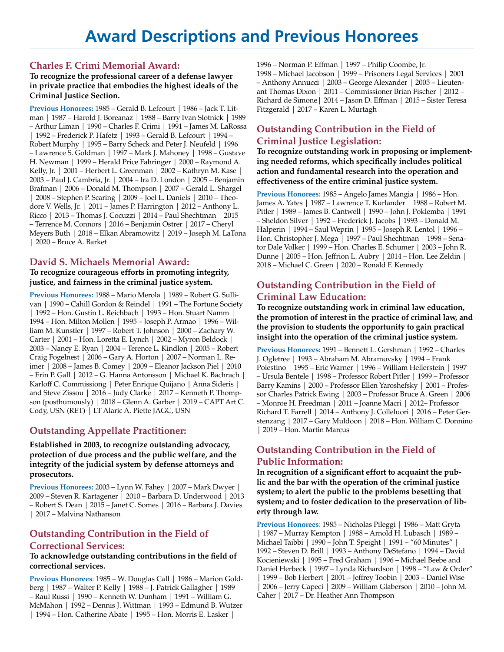#### **[Charles F. Crimi Memorial Award](http://www.nysba.org/AM/Template.cfm?Section=Section_Awards&Template=/CustomSource/Award/AwardDisplay.cfm&code=MS_CRIMI):**

#### **To recognize the professional career of a defense lawyer in private practice that embodies the highest ideals of the Criminal Justice Section.**

**Previous Honorees:** 1985 – Gerald B. Lefcourt | 1986 – Jack T. Litman | 1987 – Harold J. Boreanaz | 1988 – Barry Ivan Slotnick | 1989 – Arthur Liman | 1990 – Charles F. Crimi | 1991 – James M. LaRossa | 1992 – Frederick P. Hafetz | 1993 – Gerald B. Lefcourt | 1994 – Robert Murphy | 1995 – Barry Scheck and Peter J. Neufeld | 1996 – Lawrence S. Goldman | 1997 – Mark J. Mahoney | 1998 – Gustave H. Newman | 1999 – Herald Price Fahringer | 2000 – Raymond A. Kelly, Jr. | 2001 – Herbert L. Greenman | 2002 – Kathryn M. Kase | 2003 – Paul J. Cambria, Jr. | 2004 – Ira D. London | 2005 – Benjamin Brafman | 2006 – Donald M. Thompson | 2007 – Gerald L. Shargel | 2008 – Stephen P. Scaring | 2009 – Joel L. Daniels | 2010 – Theodore V. Wells, Jr. | 2011 – James P. Harrington | 2012 – Anthony L. Ricco | 2013 – Thomas J. Cocuzzi | 2014 – Paul Shechtman | 2015 – Terrence M. Connors | 2016 – Benjamin Ostrer | 2017 – Cheryl Meyers Buth | 2018 – Elkan Abramowitz | 2019 – Joseph M. LaTona | 2020 – Bruce A. Barket

#### **[David S. Michaels Memorial Award:](http://www.nysba.org/AM/Template.cfm?Section=Section_Awards&Template=/CustomSource/Award/AwardDisplay.cfm&code=MS_MICHAELS)**

#### **To recognize courageous efforts in promoting integrity, justice, and fairness in the criminal justice system.**

**Previous Honorees:** 1988 – Mario Merola | 1989 – Robert G. Sullivan | 1990 – Cahill Gordon & Reindel | 1991 – The Fortune Society | 1992 – Hon. Gustin L. Reichbach | 1993 – Hon. Stuart Namm | 1994 – Hon. Milton Mollen | 1995 – Joseph P. Armao | 1996 – William M. Kunstler | 1997 – Robert T. Johnson | 2000 – Zachary W. Carter | 2001 – Hon. Loretta E. Lynch | 2002 – Myron Beldock | 2003 – Nancy E. Ryan | 2004 – Terence L. Kindlon | 2005 – Robert Craig Fogelnest | 2006 – Gary A. Horton | 2007 – Norman L. Reimer | 2008 – James B. Comey | 2009 – Eleanor Jackson Piel | 2010 – Erin P. Gall | 2012 – G. Hanna Antonsson | Michael K. Bachrach | Karloff C. Commissiong | Peter Enrique Quijano | Anna Sideris | and Steve Zissou | 2016 – Judy Clarke | 2017 – Kenneth P. Thompson (posthumously) | 2018 – Glenn A. Garber | 2019 – CAPT Art C. Cody, USN (RET) | LT Alaric A. Piette JAGC, USN

#### **[Outstanding Appellate Practitioner](http://www.nysba.org/AM/Template.cfm?Section=Section_Awards&Template=/CustomSource/Award/AwardDisplay.cfm&code=MS_CRIM_AP):**

#### **Established in 2003, to recognize outstanding advocacy, protection of due process and the public welfare, and the integrity of the judicial system by defense attorneys and prosecutors.**

**Previous Honorees:** 2003 – Lynn W. Fahey | 2007 – Mark Dwyer | 2009 – Steven R. Kartagener | 2010 – Barbara D. Underwood | 2013 – Robert S. Dean | 2015 – Janet C. Somes | 2016 – Barbara J. Davies | 2017 – Malvina Nathanson

#### **[Outstanding Contribution in the Field of](http://www.nysba.org/AM/Template.cfm?Section=Section_Awards&Template=/CustomSource/Award/AwardDisplay.cfm&code=MS_CRIM_CORRECT) [Correctional Services:](http://www.nysba.org/AM/Template.cfm?Section=Section_Awards&Template=/CustomSource/Award/AwardDisplay.cfm&code=MS_CRIM_CORRECT)**

#### **To acknowledge outstanding contributions in the field of correctional services.**

**Previous Honorees**: 1985 – W. Douglas Call | 1986 – Marion Goldberg | 1987 – Walter P. Kelly | 1988 – J. Patrick Gallagher | 1989 – Raul Russi | 1990 – Kenneth W. Dunham | 1991 – William G. McMahon | 1992 – Dennis J. Wittman | 1993 – Edmund B. Wutzer | 1994 – Hon. Catherine Abate | 1995 – Hon. Morris E. Lasker |

1996 – Norman P. Effman | 1997 – Philip Coombe, Jr. | 1998 – Michael Jacobson | 1999 – Prisoners Legal Services | 2001 – Anthony Annucci | 2003 – George Alexander | 2005 – Lieutenant Thomas Dixon | 2011 – Commissioner Brian Fischer | 2012 – Richard de Simone| 2014 – Jason D. Effman | 2015 – Sister Teresa Fitzgerald | 2017 – Karen L. Murtagh

#### **[Outstanding Contribution in the Field of](http://www.nysba.org/AM/Template.cfm?Section=Section_Awards&Template=/CustomSource/Award/AwardDisplay.cfm&code=MS_CRIM_LEGIS) [Criminal Justice Legislation:](http://www.nysba.org/AM/Template.cfm?Section=Section_Awards&Template=/CustomSource/Award/AwardDisplay.cfm&code=MS_CRIM_LEGIS)**

**To recognize outstanding work in proposing or implementing needed reforms, which specifically includes political action and fundamental research into the operation and effectiveness of the entire criminal justice system.**

**Previous Honorees:** 1985 – Angelo James Mangia | 1986 – Hon. James A. Yates | 1987 – Lawrence T. Kurlander | 1988 – Robert M. Pitler | 1989 – James B. Cantwell | 1990 – John J. Poklemba | 1991 – Sheldon Silver | 1992 – Frederick J. Jacobs | 1993 – Donald M. Halperin | 1994 – Saul Weprin | 1995 – Joseph R. Lentol | 1996 – Hon. Christopher J. Mega | 1997 – Paul Shechtman | 1998 – Senator Dale Volker | 1999 – Hon. Charles E. Schumer | 2003 – John R. Dunne | 2005 – Hon. Jeffrion L. Aubry | 2014 – Hon. Lee Zeldin | 2018 – Michael C. Green | 2020 – Ronald F. Kennedy

#### **[Outstanding Contribution in the Field of](http://www.nysba.org/AM/Template.cfm?Section=Section_Awards&Template=/CustomSource/Award/AwardDisplay.cfm&code=MS_CRIM_EDU) [Criminal Law Education:](http://www.nysba.org/AM/Template.cfm?Section=Section_Awards&Template=/CustomSource/Award/AwardDisplay.cfm&code=MS_CRIM_EDU)**

**To recognize outstanding work in criminal law education, the promotion of interest in the practice of criminal law, and the provision to students the opportunity to gain practical insight into the operation of the criminal justice system.**

**Previous Honorees:** 1991 – Bennett L. Gershman | 1992 – Charles J. Ogletree | 1993 – Abraham M. Abramovsky | 1994 – Frank Polestino | 1995 – Eric Warner | 1996 – William Hellerstein | 1997 – Ursula Bentele | 1998 – Professor Robert Pitler | 1999 – Professor Barry Kamins | 2000 – Professor Ellen Yaroshefsky | 2001 – Professor Charles Patrick Ewing | 2003 – Professor Bruce A. Green | 2006 – Monroe H. Freedman | 2011 – Joanne Macri | 2012– Professor Richard T. Farrell | 2014 – Anthony J. Colleluori | 2016 – Peter Gerstenzang | 2017 – Gary Muldoon | 2018 – Hon. William C. Donnino | 2019 – Hon. Martin Marcus

#### **[Outstanding Contribution in the Field of](http://www.nysba.org/AM/Template.cfm?Section=Section_Awards&Template=/CustomSource/Award/AwardDisplay.cfm&code=MS_CRIM_PUBINFO) [Public Information:](http://www.nysba.org/AM/Template.cfm?Section=Section_Awards&Template=/CustomSource/Award/AwardDisplay.cfm&code=MS_CRIM_PUBINFO)**

**In recognition of a significant effort to acquaint the public and the bar with the operation of the criminal justice system; to alert the public to the problems besetting that system; and to foster dedication to the preservation of liberty through law.**

**Previous Honorees**: 1985 – Nicholas Pileggi | 1986 – Matt Gryta | 1987 – Murray Kempton | 1988 – Arnold H. Lubasch | 1989 – Michael Taibbi | 1990 – John T. Speight | 1991 – "60 Minutes" | 1992 – Steven D. Brill | 1993 – Anthony DeStefano | 1994 – David Kocieniewski | 1995 – Fred Graham | 1996 – Michael Beebe and Daniel Herbeck | 1997 – Lynda Richardson | 1998 – "Law & Order" | 1999 – Bob Herbert | 2001 – Jeffrey Toobin | 2003 – Daniel Wise | 2006 – Jerry Capeci | 2009 – William Glaberson | 2010 – John M. Caher | 2017 – Dr. Heather Ann Thompson